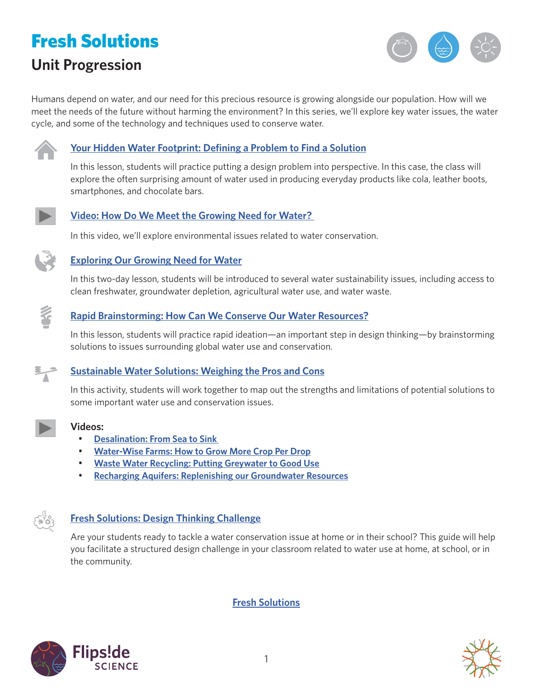# Fresh Solutions **Unit Progression**



Humans depend on water, and our need for this precious resource is growing alongside our population. How will we meet the needs of the future without harming the environment? In this series, we'll explore key water issues, the water cycle, and some of the technology and techniques used to conserve water.



# **[Your Hidden Water Footprint: Defining a Problem to Find a Solution](http://www.calacademy.org/educators/lesson-plans/your-hidden-water-footprint-defining-a-problem-to-find-a-solution)**

In this lesson, students will practice putting a design problem into perspective. In this case, the class will explore the often surprising amount of water used in producing everyday products like cola, leather boots, smartphones, and chocolate bars.



# **[Video: How Do We Meet the Growing Need for Water?](https://www.calacademy.org/educators/how-do-we-meet-the-growing-need-for-water)**

[In this video, we'll explore environmental issues related to water conservation.](https://www.calacademy.org/educators/how-do-we-meet-the-growing-need-for-water)



#### **[Exploring Our Growing Need for Water](http://www.calacademy.org/educators/lesson-plans/exploring-our-growing-need-for-water)**

In this two-day lesson, students will be introduced to several water sustainability issues, including access to clean freshwater, groundwater depletion, agricultural water use, and water waste.



#### **[Rapid Brainstorming: How Can We Conserve Our Water Resources?](http://www.calacademy.org/educators/lesson-plans/rapid-brainstorming-how-can-we-conserve-our-water-resources)**

In this lesson, students will practice rapid ideation—an important step in design thinking—by brainstorming solutions to issues surrounding global water use and conservation.



# **[Sustainable Water Solutions: Weighing the Pros and Cons](http://www.calacademy.org/educators/lesson-plans/sustainable-water-solutions-weighing-the-pros-and-cons)**

In this activity, students will work together to map out the strengths and limitations of potential solutions to some important water use and conservation issues.



#### **Videos:**

- **[Desalination: From Sea to Sink](https://www.calacademy.org/educators/desalination)**
- **[Water-Wise Farms: How to Grow More Crop Per Drop](https://www.calacademy.org/educators/water-wise-farms)**
- **[Waste Water Recycling: Putting Greywater to Good Use](https://www.calacademy.org/educators/waste-water-recycling)**
- **[Recharging Aquifers: Replenishing our Groundwater Resources](https://www.calacademy.org/educators/recharging-aquifers)**

#### **[Fresh Solutions: Design Thinking Challenge](http://www.calacademy.org/educators/lesson-plans/fresh-solutions-design-thinking-challenge)**

Are your students ready to tackle a water conservation issue at home or in their school? This guide will help you facilitate a structured design challenge in your classroom related to water use at home, at school, or in the community.